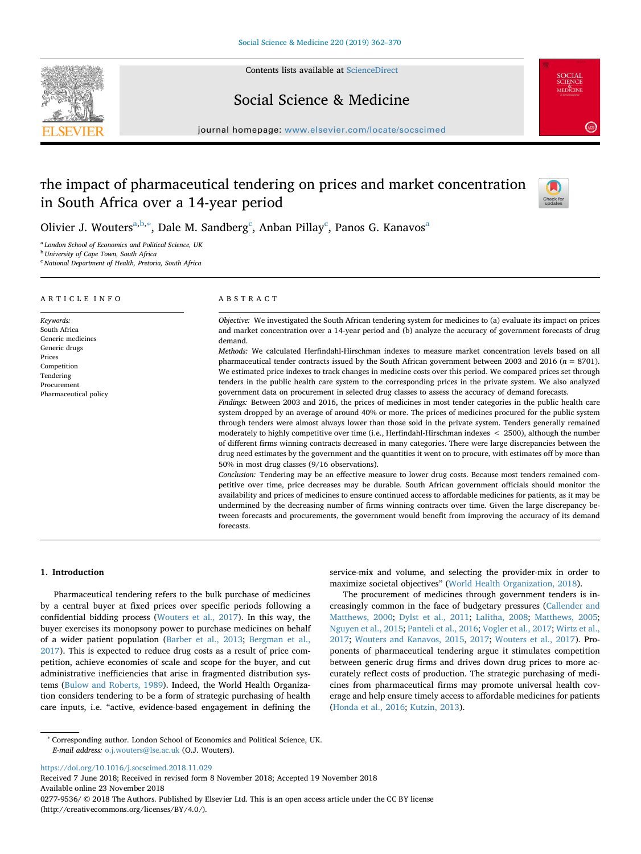

Contents lists available at [ScienceDirect](http://www.sciencedirect.com/science/journal/02779536)

# Social Science & Medicine

journal homepage: [www.elsevier.com/locate/socscimed](https://www.elsevier.com/locate/socscimed)

# The impact of pharmaceutical tendering on prices and market concentration in South Africa over a 14-year period



Olivier J. Wouters<sup>[a,](#page-0-0)[b](#page-0-1),</sup>\*, Dale M. Sandberg<sup>[c](#page-0-3)</sup>, Anban Pillay<sup>c</sup>, Panos G. Kanavos<sup>a</sup>

<span id="page-0-0"></span><sup>a</sup> *London School of Economics and Political Science, UK*

<span id="page-0-1"></span><sup>b</sup> *University of Cape Town, South Africa*

<span id="page-0-3"></span><sup>c</sup> *National Department of Health, Pretoria, South Africa*

# ARTICLE INFO

*Keywords:* South Africa Generic medicines Generic drugs Prices Competition Tendering Procurement Pharmaceutical policy

# ABSTRACT

*Objective:* We investigated the South African tendering system for medicines to (a) evaluate its impact on prices and market concentration over a 14-year period and (b) analyze the accuracy of government forecasts of drug demand.

*Methods:* We calculated Herfindahl-Hirschman indexes to measure market concentration levels based on all pharmaceutical tender contracts issued by the South African government between 2003 and 2016 (*n* = 8701). We estimated price indexes to track changes in medicine costs over this period. We compared prices set through tenders in the public health care system to the corresponding prices in the private system. We also analyzed government data on procurement in selected drug classes to assess the accuracy of demand forecasts.

*Findings:* Between 2003 and 2016, the prices of medicines in most tender categories in the public health care system dropped by an average of around 40% or more. The prices of medicines procured for the public system through tenders were almost always lower than those sold in the private system. Tenders generally remained moderately to highly competitive over time (i.e., Herfindahl-Hirschman indexes < 2500), although the number of different firms winning contracts decreased in many categories. There were large discrepancies between the drug need estimates by the government and the quantities it went on to procure, with estimates off by more than 50% in most drug classes (9/16 observations).

*Conclusion:* Tendering may be an effective measure to lower drug costs. Because most tenders remained competitive over time, price decreases may be durable. South African government officials should monitor the availability and prices of medicines to ensure continued access to affordable medicines for patients, as it may be undermined by the decreasing number of firms winning contracts over time. Given the large discrepancy between forecasts and procurements, the government would benefit from improving the accuracy of its demand forecasts.

## **1. Introduction**

Pharmaceutical tendering refers to the bulk purchase of medicines by a central buyer at fixed prices over specific periods following a confidential bidding process [\(Wouters et al., 2017](#page-8-0)). In this way, the buyer exercises its monopsony power to purchase medicines on behalf of a wider patient population ([Barber et al., 2013;](#page-7-0) [Bergman et al.,](#page-7-1) [2017\)](#page-7-1). This is expected to reduce drug costs as a result of price competition, achieve economies of scale and scope for the buyer, and cut administrative inefficiencies that arise in fragmented distribution systems [\(Bulow and Roberts, 1989](#page-7-2)). Indeed, the World Health Organization considers tendering to be a form of strategic purchasing of health care inputs, i.e. "active, evidence-based engagement in defining the service-mix and volume, and selecting the provider-mix in order to maximize societal objectives" [\(World Health Organization, 2018](#page-8-1)).

The procurement of medicines through government tenders is increasingly common in the face of budgetary pressures ([Callender and](#page-7-3) [Matthews, 2000](#page-7-3); [Dylst et al., 2011](#page-7-4); [Lalitha, 2008;](#page-8-2) [Matthews, 2005](#page-8-3); [Nguyen et al., 2015;](#page-8-4) [Panteli et al., 2016;](#page-8-5) [Vogler et al., 2017;](#page-8-6) [Wirtz et al.,](#page-8-7) [2017;](#page-8-7) [Wouters and Kanavos, 2015](#page-8-8), [2017;](#page-8-9) [Wouters et al., 2017\)](#page-8-0). Proponents of pharmaceutical tendering argue it stimulates competition between generic drug firms and drives down drug prices to more accurately reflect costs of production. The strategic purchasing of medicines from pharmaceutical firms may promote universal health coverage and help ensure timely access to affordable medicines for patients ([Honda et al., 2016](#page-7-5); [Kutzin, 2013\)](#page-8-10).

<https://doi.org/10.1016/j.socscimed.2018.11.029>

Received 7 June 2018; Received in revised form 8 November 2018; Accepted 19 November 2018 Available online 23 November 2018

0277-9536/ © 2018 The Authors. Published by Elsevier Ltd. This is an open access article under the CC BY license (http://creativecommons.org/licenses/BY/4.0/).

<span id="page-0-2"></span><sup>∗</sup> Corresponding author. London School of Economics and Political Science, UK. *E-mail address:* [o.j.wouters@lse.ac.uk](mailto:o.j.wouters@lse.ac.uk) (O.J. Wouters).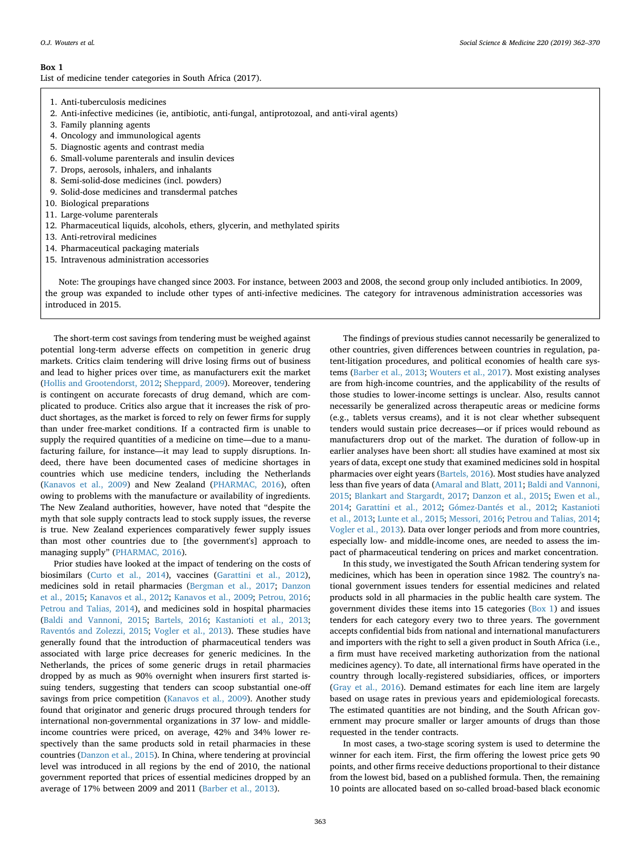#### <span id="page-1-0"></span>**Box 1**

List of medicine tender categories in South Africa (2017).

- 1. Anti-tuberculosis medicines
- 2. Anti-infective medicines (ie, antibiotic, anti-fungal, antiprotozoal, and anti-viral agents)
- 3. Family planning agents
- 4. Oncology and immunological agents
- 5. Diagnostic agents and contrast media
- 6. Small-volume parenterals and insulin devices
- 7. Drops, aerosols, inhalers, and inhalants
- 8. Semi-solid-dose medicines (incl. powders)
- 9. Solid-dose medicines and transdermal patches
- 10. Biological preparations
- 11. Large-volume parenterals
- 12. Pharmaceutical liquids, alcohols, ethers, glycerin, and methylated spirits
- 13. Anti-retroviral medicines
- 14. Pharmaceutical packaging materials
- 15. Intravenous administration accessories

Note: The groupings have changed since 2003. For instance, between 2003 and 2008, the second group only included antibiotics. In 2009, the group was expanded to include other types of anti-infective medicines. The category for intravenous administration accessories was introduced in 2015.

The short-term cost savings from tendering must be weighed against potential long-term adverse effects on competition in generic drug markets. Critics claim tendering will drive losing firms out of business and lead to higher prices over time, as manufacturers exit the market ([Hollis and Grootendorst, 2012](#page-7-6); [Sheppard, 2009\)](#page-8-11). Moreover, tendering is contingent on accurate forecasts of drug demand, which are complicated to produce. Critics also argue that it increases the risk of product shortages, as the market is forced to rely on fewer firms for supply than under free-market conditions. If a contracted firm is unable to supply the required quantities of a medicine on time—due to a manufacturing failure, for instance—it may lead to supply disruptions. Indeed, there have been documented cases of medicine shortages in countries which use medicine tenders, including the Netherlands ([Kanavos et al., 2009](#page-8-12)) and New Zealand [\(PHARMAC, 2016](#page-8-13)), often owing to problems with the manufacture or availability of ingredients. The New Zealand authorities, however, have noted that "despite the myth that sole supply contracts lead to stock supply issues, the reverse is true. New Zealand experiences comparatively fewer supply issues than most other countries due to [the government's] approach to managing supply" [\(PHARMAC, 2016\)](#page-8-13).

Prior studies have looked at the impact of tendering on the costs of biosimilars [\(Curto et al., 2014](#page-7-7)), vaccines ([Garattini et al., 2012](#page-7-8)), medicines sold in retail pharmacies ([Bergman et al., 2017;](#page-7-1) [Danzon](#page-7-9) [et al., 2015;](#page-7-9) [Kanavos et al., 2012;](#page-8-14) [Kanavos et al., 2009](#page-8-12); [Petrou, 2016](#page-8-15); [Petrou and Talias, 2014](#page-8-16)), and medicines sold in hospital pharmacies ([Baldi and Vannoni, 2015;](#page-7-10) [Bartels, 2016](#page-7-11); [Kastanioti et al., 2013](#page-8-17); [Raventós and Zolezzi, 2015;](#page-8-18) [Vogler et al., 2013](#page-8-19)). These studies have generally found that the introduction of pharmaceutical tenders was associated with large price decreases for generic medicines. In the Netherlands, the prices of some generic drugs in retail pharmacies dropped by as much as 90% overnight when insurers first started issuing tenders, suggesting that tenders can scoop substantial one-off savings from price competition [\(Kanavos et al., 2009\)](#page-8-12). Another study found that originator and generic drugs procured through tenders for international non-governmental organizations in 37 low- and middleincome countries were priced, on average, 42% and 34% lower respectively than the same products sold in retail pharmacies in these countries [\(Danzon et al., 2015](#page-7-9)). In China, where tendering at provincial level was introduced in all regions by the end of 2010, the national government reported that prices of essential medicines dropped by an average of 17% between 2009 and 2011 ([Barber et al., 2013\)](#page-7-0).

The findings of previous studies cannot necessarily be generalized to other countries, given differences between countries in regulation, patent-litigation procedures, and political economies of health care systems ([Barber et al., 2013;](#page-7-0) [Wouters et al., 2017](#page-8-0)). Most existing analyses are from high-income countries, and the applicability of the results of those studies to lower-income settings is unclear. Also, results cannot necessarily be generalized across therapeutic areas or medicine forms (e.g., tablets versus creams), and it is not clear whether subsequent tenders would sustain price decreases—or if prices would rebound as manufacturers drop out of the market. The duration of follow-up in earlier analyses have been short: all studies have examined at most six years of data, except one study that examined medicines sold in hospital pharmacies over eight years [\(Bartels, 2016](#page-7-11)). Most studies have analyzed less than five years of data [\(Amaral and Blatt, 2011](#page-7-12); [Baldi and Vannoni,](#page-7-10) [2015;](#page-7-10) [Blankart and Stargardt, 2017](#page-7-13); [Danzon et al., 2015;](#page-7-9) [Ewen et al.,](#page-7-14) [2014;](#page-7-14) [Garattini et al., 2012;](#page-7-8) [Gómez-Dantés et al., 2012;](#page-7-15) [Kastanioti](#page-8-17) [et al., 2013;](#page-8-17) [Lunte et al., 2015;](#page-8-20) [Messori, 2016;](#page-8-21) [Petrou and Talias, 2014](#page-8-16); [Vogler et al., 2013\)](#page-8-19). Data over longer periods and from more countries, especially low- and middle-income ones, are needed to assess the impact of pharmaceutical tendering on prices and market concentration.

In this study, we investigated the South African tendering system for medicines, which has been in operation since 1982. The country's national government issues tenders for essential medicines and related products sold in all pharmacies in the public health care system. The government divides these items into 15 categories [\(Box 1](#page-1-0)) and issues tenders for each category every two to three years. The government accepts confidential bids from national and international manufacturers and importers with the right to sell a given product in South Africa (i.e., a firm must have received marketing authorization from the national medicines agency). To date, all international firms have operated in the country through locally-registered subsidiaries, offices, or importers ([Gray et al., 2016](#page-7-16)). Demand estimates for each line item are largely based on usage rates in previous years and epidemiological forecasts. The estimated quantities are not binding, and the South African government may procure smaller or larger amounts of drugs than those requested in the tender contracts.

In most cases, a two-stage scoring system is used to determine the winner for each item. First, the firm offering the lowest price gets 90 points, and other firms receive deductions proportional to their distance from the lowest bid, based on a published formula. Then, the remaining 10 points are allocated based on so-called broad-based black economic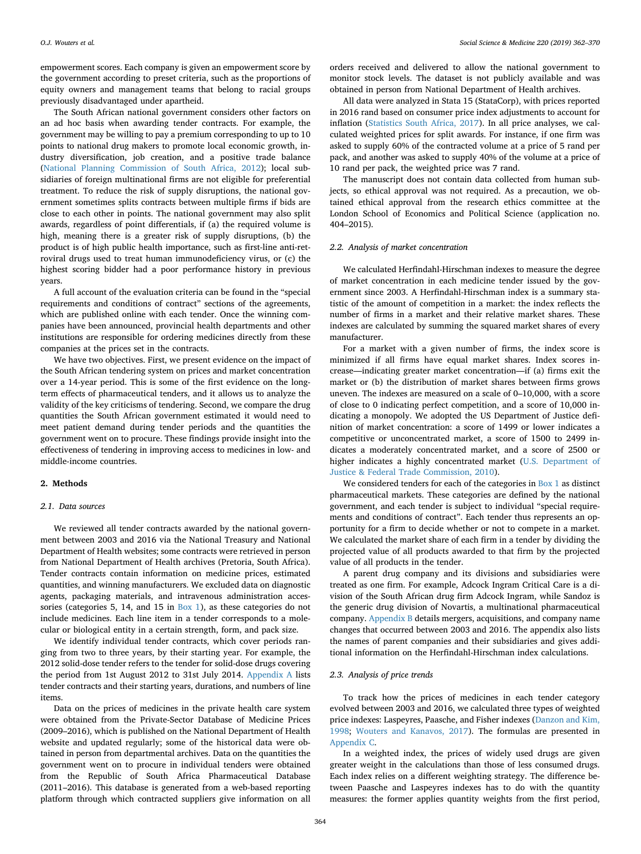empowerment scores. Each company is given an empowerment score by the government according to preset criteria, such as the proportions of equity owners and management teams that belong to racial groups previously disadvantaged under apartheid.

The South African national government considers other factors on an ad hoc basis when awarding tender contracts. For example, the government may be willing to pay a premium corresponding to up to 10 points to national drug makers to promote local economic growth, industry diversification, job creation, and a positive trade balance ([National Planning Commission of South Africa, 2012](#page-8-22)); local subsidiaries of foreign multinational firms are not eligible for preferential treatment. To reduce the risk of supply disruptions, the national government sometimes splits contracts between multiple firms if bids are close to each other in points. The national government may also split awards, regardless of point differentials, if (a) the required volume is high, meaning there is a greater risk of supply disruptions, (b) the product is of high public health importance, such as first-line anti-retroviral drugs used to treat human immunodeficiency virus, or (c) the highest scoring bidder had a poor performance history in previous years.

A full account of the evaluation criteria can be found in the "special requirements and conditions of contract" sections of the agreements, which are published online with each tender. Once the winning companies have been announced, provincial health departments and other institutions are responsible for ordering medicines directly from these companies at the prices set in the contracts.

We have two objectives. First, we present evidence on the impact of the South African tendering system on prices and market concentration over a 14-year period. This is some of the first evidence on the longterm effects of pharmaceutical tenders, and it allows us to analyze the validity of the key criticisms of tendering. Second, we compare the drug quantities the South African government estimated it would need to meet patient demand during tender periods and the quantities the government went on to procure. These findings provide insight into the effectiveness of tendering in improving access to medicines in low- and middle-income countries.

# **2. Methods**

# *2.1. Data sources*

We reviewed all tender contracts awarded by the national government between 2003 and 2016 via the National Treasury and National Department of Health websites; some contracts were retrieved in person from National Department of Health archives (Pretoria, South Africa). Tender contracts contain information on medicine prices, estimated quantities, and winning manufacturers. We excluded data on diagnostic agents, packaging materials, and intravenous administration accessories (categories 5, 14, and 15 in [Box 1](#page-1-0)), as these categories do not include medicines. Each line item in a tender corresponds to a molecular or biological entity in a certain strength, form, and pack size.

We identify individual tender contracts, which cover periods ranging from two to three years, by their starting year. For example, the 2012 solid-dose tender refers to the tender for solid-dose drugs covering the period from 1st August 2012 to 31st July 2014. Appendix A lists tender contracts and their starting years, durations, and numbers of line items.

Data on the prices of medicines in the private health care system were obtained from the Private-Sector Database of Medicine Prices (2009–2016), which is published on the National Department of Health website and updated regularly; some of the historical data were obtained in person from departmental archives. Data on the quantities the government went on to procure in individual tenders were obtained from the Republic of South Africa Pharmaceutical Database (2011–2016). This database is generated from a web-based reporting platform through which contracted suppliers give information on all orders received and delivered to allow the national government to monitor stock levels. The dataset is not publicly available and was obtained in person from National Department of Health archives.

All data were analyzed in Stata 15 (StataCorp), with prices reported in 2016 rand based on consumer price index adjustments to account for inflation ([Statistics South Africa, 2017](#page-8-23)). In all price analyses, we calculated weighted prices for split awards. For instance, if one firm was asked to supply 60% of the contracted volume at a price of 5 rand per pack, and another was asked to supply 40% of the volume at a price of 10 rand per pack, the weighted price was 7 rand.

The manuscript does not contain data collected from human subjects, so ethical approval was not required. As a precaution, we obtained ethical approval from the research ethics committee at the London School of Economics and Political Science (application no. 404–2015).

# *2.2. Analysis of market concentration*

We calculated Herfindahl-Hirschman indexes to measure the degree of market concentration in each medicine tender issued by the government since 2003. A Herfindahl-Hirschman index is a summary statistic of the amount of competition in a market: the index reflects the number of firms in a market and their relative market shares. These indexes are calculated by summing the squared market shares of every manufacturer.

For a market with a given number of firms, the index score is minimized if all firms have equal market shares. Index scores increase—indicating greater market concentration—if (a) firms exit the market or (b) the distribution of market shares between firms grows uneven. The indexes are measured on a scale of 0–10,000, with a score of close to 0 indicating perfect competition, and a score of 10,000 indicating a monopoly. We adopted the US Department of Justice definition of market concentration: a score of 1499 or lower indicates a competitive or unconcentrated market, a score of 1500 to 2499 indicates a moderately concentrated market, and a score of 2500 or higher indicates a highly concentrated market [\(U.S. Department of](#page-8-24) [Justice & Federal Trade Commission, 2010](#page-8-24)).

We considered tenders for each of the categories in [Box 1](#page-1-0) as distinct pharmaceutical markets. These categories are defined by the national government, and each tender is subject to individual "special requirements and conditions of contract". Each tender thus represents an opportunity for a firm to decide whether or not to compete in a market. We calculated the market share of each firm in a tender by dividing the projected value of all products awarded to that firm by the projected value of all products in the tender.

A parent drug company and its divisions and subsidiaries were treated as one firm. For example, Adcock Ingram Critical Care is a division of the South African drug firm Adcock Ingram, while Sandoz is the generic drug division of Novartis, a multinational pharmaceutical company. Appendix B details mergers, acquisitions, and company name changes that occurred between 2003 and 2016. The appendix also lists the names of parent companies and their subsidiaries and gives additional information on the Herfindahl-Hirschman index calculations.

# *2.3. Analysis of price trends*

To track how the prices of medicines in each tender category evolved between 2003 and 2016, we calculated three types of weighted price indexes: Laspeyres, Paasche, and Fisher indexes [\(Danzon and Kim,](#page-7-17) [1998;](#page-7-17) [Wouters and Kanavos, 2017](#page-8-9)). The formulas are presented in Appendix C.

In a weighted index, the prices of widely used drugs are given greater weight in the calculations than those of less consumed drugs. Each index relies on a different weighting strategy. The difference between Paasche and Laspeyres indexes has to do with the quantity measures: the former applies quantity weights from the first period,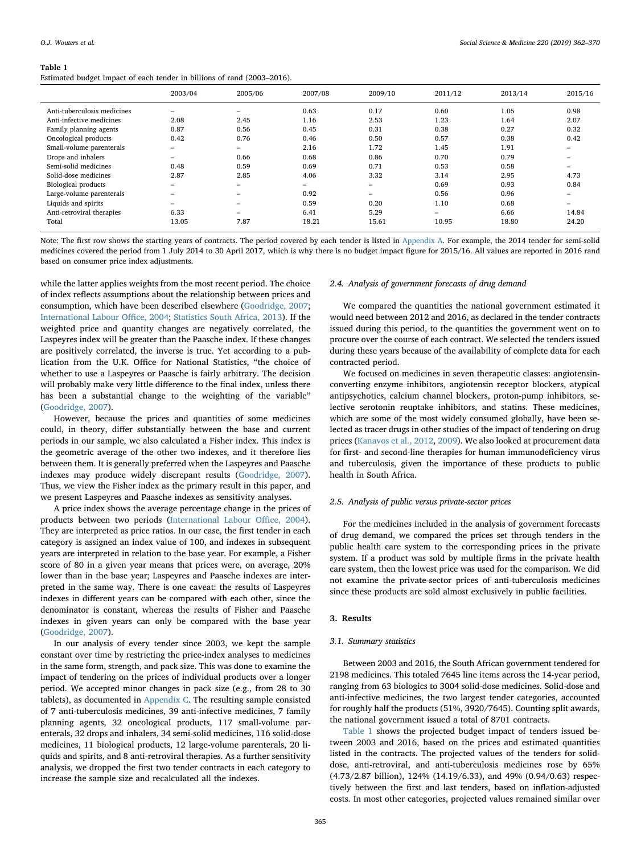#### <span id="page-3-0"></span>**Table 1**

Estimated budget impact of each tender in billions of rand (2003–2016).

|                             | 2003/04                  | 2005/06                  | 2007/08                  | 2009/10 | 2011/12 | 2013/14 | 2015/16                  |
|-----------------------------|--------------------------|--------------------------|--------------------------|---------|---------|---------|--------------------------|
| Anti-tuberculosis medicines | -                        | $\overline{\phantom{0}}$ | 0.63                     | 0.17    | 0.60    | 1.05    | 0.98                     |
| Anti-infective medicines    | 2.08                     | 2.45                     | 1.16                     | 2.53    | 1.23    | 1.64    | 2.07                     |
| Family planning agents      | 0.87                     | 0.56                     | 0.45                     | 0.31    | 0.38    | 0.27    | 0.32                     |
| Oncological products        | 0.42                     | 0.76                     | 0.46                     | 0.50    | 0.57    | 0.38    | 0.42                     |
| Small-volume parenterals    | -                        | $-$                      | 2.16                     | 1.72    | 1.45    | 1.91    | -                        |
| Drops and inhalers          | -                        | 0.66                     | 0.68                     | 0.86    | 0.70    | 0.79    | -                        |
| Semi-solid medicines        | 0.48                     | 0.59                     | 0.69                     | 0.71    | 0.53    | 0.58    | -                        |
| Solid-dose medicines        | 2.87                     | 2.85                     | 4.06                     | 3.32    | 3.14    | 2.95    | 4.73                     |
| <b>Biological products</b>  | -                        | $-$                      | $\overline{\phantom{a}}$ | -       | 0.69    | 0.93    | 0.84                     |
| Large-volume parenterals    | $\overline{\phantom{0}}$ | $\overline{\phantom{0}}$ | 0.92                     | -       | 0.56    | 0.96    | $\overline{\phantom{0}}$ |
| Liquids and spirits         | $\overline{\phantom{0}}$ | $\overline{\phantom{0}}$ | 0.59                     | 0.20    | 1.10    | 0.68    | -                        |
| Anti-retroviral therapies   | 6.33                     | $\overline{\phantom{a}}$ | 6.41                     | 5.29    | -       | 6.66    | 14.84                    |
| Total                       | 13.05                    | 7.87                     | 18.21                    | 15.61   | 10.95   | 18.80   | 24.20                    |

Note: The first row shows the starting years of contracts. The period covered by each tender is listed in Appendix A. For example, the 2014 tender for semi-solid medicines covered the period from 1 July 2014 to 30 April 2017, which is why there is no budget impact figure for 2015/16. All values are reported in 2016 rand based on consumer price index adjustments.

while the latter applies weights from the most recent period. The choice of index reflects assumptions about the relationship between prices and consumption, which have been described elsewhere ([Goodridge, 2007](#page-7-18); [International Labour Office, 2004;](#page-8-25) [Statistics South Africa, 2013](#page-8-26)). If the weighted price and quantity changes are negatively correlated, the Laspeyres index will be greater than the Paasche index. If these changes are positively correlated, the inverse is true. Yet according to a publication from the U.K. Office for National Statistics, "the choice of whether to use a Laspeyres or Paasche is fairly arbitrary. The decision will probably make very little difference to the final index, unless there has been a substantial change to the weighting of the variable" ([Goodridge, 2007](#page-7-18)).

However, because the prices and quantities of some medicines could, in theory, differ substantially between the base and current periods in our sample, we also calculated a Fisher index. This index is the geometric average of the other two indexes, and it therefore lies between them. It is generally preferred when the Laspeyres and Paasche indexes may produce widely discrepant results ([Goodridge, 2007](#page-7-18)). Thus, we view the Fisher index as the primary result in this paper, and we present Laspeyres and Paasche indexes as sensitivity analyses.

A price index shows the average percentage change in the prices of products between two periods [\(International Labour Office, 2004](#page-8-25)). They are interpreted as price ratios. In our case, the first tender in each category is assigned an index value of 100, and indexes in subsequent years are interpreted in relation to the base year. For example, a Fisher score of 80 in a given year means that prices were, on average, 20% lower than in the base year; Laspeyres and Paasche indexes are interpreted in the same way. There is one caveat: the results of Laspeyres indexes in different years can be compared with each other, since the denominator is constant, whereas the results of Fisher and Paasche indexes in given years can only be compared with the base year ([Goodridge, 2007](#page-7-18)).

In our analysis of every tender since 2003, we kept the sample constant over time by restricting the price-index analyses to medicines in the same form, strength, and pack size. This was done to examine the impact of tendering on the prices of individual products over a longer period. We accepted minor changes in pack size (e.g., from 28 to 30 tablets), as documented in Appendix C. The resulting sample consisted of 7 anti-tuberculosis medicines, 39 anti-infective medicines, 7 family planning agents, 32 oncological products, 117 small-volume parenterals, 32 drops and inhalers, 34 semi-solid medicines, 116 solid-dose medicines, 11 biological products, 12 large-volume parenterals, 20 liquids and spirits, and 8 anti-retroviral therapies. As a further sensitivity analysis, we dropped the first two tender contracts in each category to increase the sample size and recalculated all the indexes.

#### *2.4. Analysis of government forecasts of drug demand*

We compared the quantities the national government estimated it would need between 2012 and 2016, as declared in the tender contracts issued during this period, to the quantities the government went on to procure over the course of each contract. We selected the tenders issued during these years because of the availability of complete data for each contracted period.

We focused on medicines in seven therapeutic classes: angiotensinconverting enzyme inhibitors, angiotensin receptor blockers, atypical antipsychotics, calcium channel blockers, proton-pump inhibitors, selective serotonin reuptake inhibitors, and statins. These medicines, which are some of the most widely consumed globally, have been selected as tracer drugs in other studies of the impact of tendering on drug prices [\(Kanavos et al., 2012,](#page-8-14) [2009\)](#page-8-12). We also looked at procurement data for first- and second-line therapies for human immunodeficiency virus and tuberculosis, given the importance of these products to public health in South Africa.

# *2.5. Analysis of public versus private-sector prices*

For the medicines included in the analysis of government forecasts of drug demand, we compared the prices set through tenders in the public health care system to the corresponding prices in the private system. If a product was sold by multiple firms in the private health care system, then the lowest price was used for the comparison. We did not examine the private-sector prices of anti-tuberculosis medicines since these products are sold almost exclusively in public facilities.

## **3. Results**

# *3.1. Summary statistics*

Between 2003 and 2016, the South African government tendered for 2198 medicines. This totaled 7645 line items across the 14-year period, ranging from 63 biologics to 3004 solid-dose medicines. Solid-dose and anti-infective medicines, the two largest tender categories, accounted for roughly half the products (51%, 3920/7645). Counting split awards, the national government issued a total of 8701 contracts.

[Table 1](#page-3-0) shows the projected budget impact of tenders issued between 2003 and 2016, based on the prices and estimated quantities listed in the contracts. The projected values of the tenders for soliddose, anti-retroviral, and anti-tuberculosis medicines rose by 65% (4.73/2.87 billion), 124% (14.19/6.33), and 49% (0.94/0.63) respectively between the first and last tenders, based on inflation-adjusted costs. In most other categories, projected values remained similar over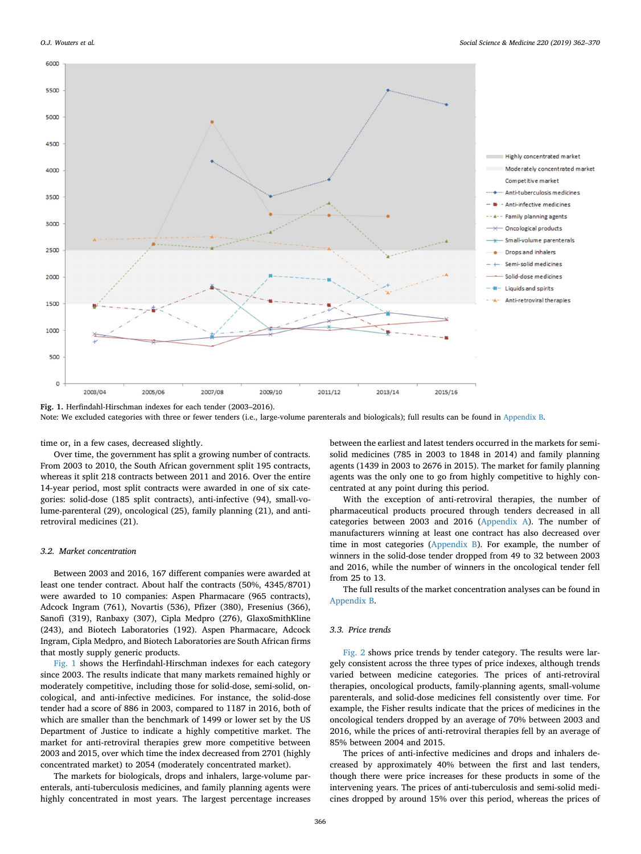<span id="page-4-0"></span>

Note: We excluded categories with three or fewer tenders (i.e., large-volume parenterals and biologicals); full results can be found in Appendix B.

time or, in a few cases, decreased slightly.

Over time, the government has split a growing number of contracts. From 2003 to 2010, the South African government split 195 contracts, whereas it split 218 contracts between 2011 and 2016. Over the entire 14-year period, most split contracts were awarded in one of six categories: solid-dose (185 split contracts), anti-infective (94), small-volume-parenteral (29), oncological (25), family planning (21), and antiretroviral medicines (21).

#### *3.2. Market concentration*

Between 2003 and 2016, 167 different companies were awarded at least one tender contract. About half the contracts (50%, 4345/8701) were awarded to 10 companies: Aspen Pharmacare (965 contracts), Adcock Ingram (761), Novartis (536), Pfizer (380), Fresenius (366), Sanofi (319), Ranbaxy (307), Cipla Medpro (276), GlaxoSmithKline (243), and Biotech Laboratories (192). Aspen Pharmacare, Adcock Ingram, Cipla Medpro, and Biotech Laboratories are South African firms that mostly supply generic products.

[Fig. 1](#page-4-0) shows the Herfindahl-Hirschman indexes for each category since 2003. The results indicate that many markets remained highly or moderately competitive, including those for solid-dose, semi-solid, oncological, and anti-infective medicines. For instance, the solid-dose tender had a score of 886 in 2003, compared to 1187 in 2016, both of which are smaller than the benchmark of 1499 or lower set by the US Department of Justice to indicate a highly competitive market. The market for anti-retroviral therapies grew more competitive between 2003 and 2015, over which time the index decreased from 2701 (highly concentrated market) to 2054 (moderately concentrated market).

The markets for biologicals, drops and inhalers, large-volume parenterals, anti-tuberculosis medicines, and family planning agents were highly concentrated in most years. The largest percentage increases between the earliest and latest tenders occurred in the markets for semisolid medicines (785 in 2003 to 1848 in 2014) and family planning agents (1439 in 2003 to 2676 in 2015). The market for family planning agents was the only one to go from highly competitive to highly concentrated at any point during this period.

With the exception of anti-retroviral therapies, the number of pharmaceutical products procured through tenders decreased in all categories between 2003 and 2016 (Appendix A). The number of manufacturers winning at least one contract has also decreased over time in most categories (Appendix B). For example, the number of winners in the solid-dose tender dropped from 49 to 32 between 2003 and 2016, while the number of winners in the oncological tender fell from 25 to 13.

The full results of the market concentration analyses can be found in Appendix B.

# *3.3. Price trends*

[Fig. 2](#page-5-0) shows price trends by tender category. The results were largely consistent across the three types of price indexes, although trends varied between medicine categories. The prices of anti-retroviral therapies, oncological products, family-planning agents, small-volume parenterals, and solid-dose medicines fell consistently over time. For example, the Fisher results indicate that the prices of medicines in the oncological tenders dropped by an average of 70% between 2003 and 2016, while the prices of anti-retroviral therapies fell by an average of 85% between 2004 and 2015.

The prices of anti-infective medicines and drops and inhalers decreased by approximately 40% between the first and last tenders, though there were price increases for these products in some of the intervening years. The prices of anti-tuberculosis and semi-solid medicines dropped by around 15% over this period, whereas the prices of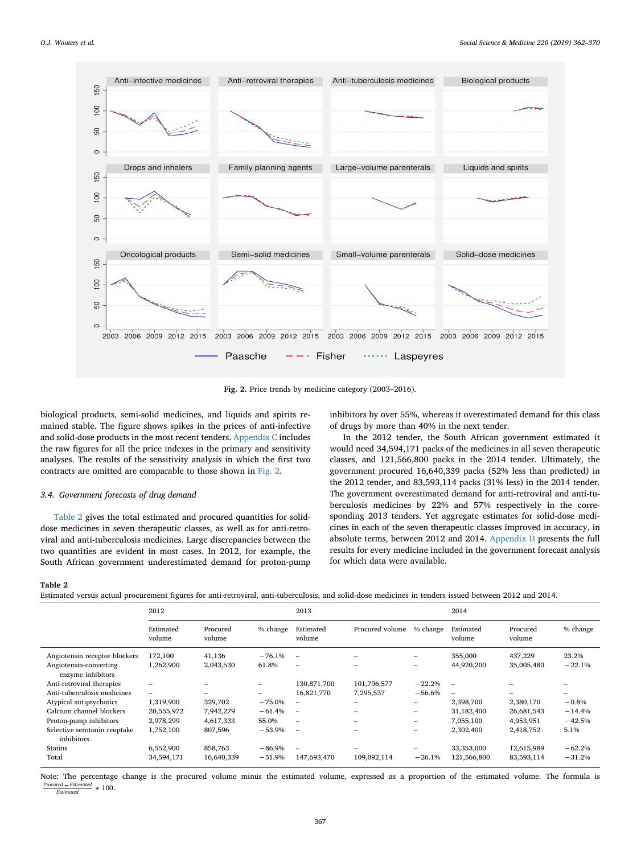<span id="page-5-0"></span>

**Fig. 2.** Price trends by medicine category (2003–2016).

biological products, semi-solid medicines, and liquids and spirits remained stable. The figure shows spikes in the prices of anti-infective and solid-dose products in the most recent tenders. Appendix C includes the raw figures for all the price indexes in the primary and sensitivity analyses. The results of the sensitivity analysis in which the first two contracts are omitted are comparable to those shown in [Fig. 2](#page-5-0).

# *3.4. Government forecasts of drug demand*

[Table 2](#page-5-1) gives the total estimated and procured quantities for soliddose medicines in seven therapeutic classes, as well as for anti-retroviral and anti-tuberculosis medicines. Large discrepancies between the two quantities are evident in most cases. In 2012, for example, the South African government underestimated demand for proton-pump inhibitors by over 55%, whereas it overestimated demand for this class of drugs by more than 40% in the next tender.

In the 2012 tender, the South African government estimated it would need 34,594,171 packs of the medicines in all seven therapeutic classes, and 121,566,800 packs in the 2014 tender. Ultimately, the government procured 16,640,339 packs (52% less than predicted) in the 2012 tender, and 83,593,114 packs (31% less) in the 2014 tender. The government overestimated demand for anti-retroviral and anti-tuberculosis medicines by 22% and 57% respectively in the corresponding 2013 tenders. Yet aggregate estimates for solid-dose medicines in each of the seven therapeutic classes improved in accuracy, in absolute terms, between 2012 and 2014. Appendix D presents the full results for every medicine included in the government forecast analysis for which data were available.

#### <span id="page-5-1"></span>**Table 2**

Estimated versus actual procurement figures for anti-retroviral, anti-tuberculosis, and solid-dose medicines in tenders issued between 2012 and 2014.

|                                             | 2012                |                    |          | 2013                     |                          |                          | 2014                |                    |                          |
|---------------------------------------------|---------------------|--------------------|----------|--------------------------|--------------------------|--------------------------|---------------------|--------------------|--------------------------|
|                                             | Estimated<br>volume | Procured<br>volume | % change | Estimated<br>volume      | Procured volume          | % change                 | Estimated<br>volume | Procured<br>volume | % change                 |
| Angiotensin receptor blockers               | 172,100             | 41,136             | $-76.1%$ | $\overline{\phantom{a}}$ |                          | $\overline{\phantom{0}}$ | 355,000             | 437,229            | 23.2%                    |
| Angiotensin-converting<br>enzyme inhibitors | 1,262,900           | 2,043,530          | 61.8%    | $\overline{\phantom{0}}$ | -                        | $\overline{\phantom{0}}$ | 44,920,200          | 35,005,480         | $-22.1%$                 |
| Anti-retroviral therapies                   | $\equiv$            |                    | -        | 130,871,700              | 101,796,577              | $-22.2%$                 | $\equiv$            |                    | -                        |
| Anti-tuberculosis medicines                 | $\equiv$            | -                  | -        | 16,821,770               | 7,295,537                | $-56.6%$                 | $\equiv$            | -                  | $\overline{\phantom{a}}$ |
| Atypical antipsychotics                     | 1,319,900           | 329,702            | $-75.0%$ | $\overline{\phantom{0}}$ |                          | -                        | 2,398,700           | 2,380,170          | $-0.8%$                  |
| Calcium channel blockers                    | 20,555,972          | 7,942,279          | $-61.4%$ | $\overline{\phantom{a}}$ | $\overline{\phantom{a}}$ | $\overline{\phantom{0}}$ | 31,182,400          | 26,681,543         | $-14.4%$                 |
| Proton-pump inhibitors                      | 2.978.299           | 4,617,333          | 55.0%    | $\equiv$                 | $\overline{\phantom{0}}$ | $\overline{\phantom{0}}$ | 7,055,100           | 4,053,951          | $-42.5%$                 |
| Selective serotonin reuptake<br>inhibitors  | 1,752,100           | 807,596            | $-53.9%$ | $\equiv$                 | $\overline{\phantom{0}}$ | -                        | 2,302,400           | 2,418,752          | 5.1%                     |
| <b>Statins</b>                              | 6,552,900           | 858,763            | $-86.9%$ | $\overline{\phantom{0}}$ |                          |                          | 33,353,000          | 12,615,989         | $-62.2%$                 |
| Total                                       | 34,594,171          | 16.640.339         | $-51.9%$ | 147,693,470              | 109.092.114              | $-26.1%$                 | 121.566.800         | 83,593,114         | $-31.2%$                 |

Note: The percentage change is the procured volume minus the estimated volume, expressed as a proportion of the estimated volume. The formula is  $\frac{Proured - Estimated}{1.5} \approx 100$ 100 *Procured Estimated Estimated* .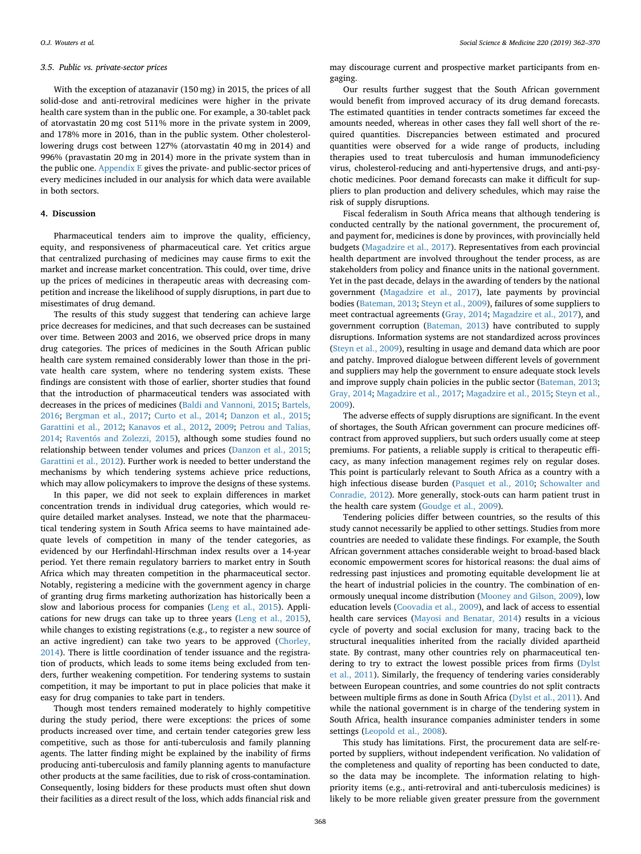#### *3.5. Public vs. private-sector prices*

With the exception of atazanavir (150 mg) in 2015, the prices of all solid-dose and anti-retroviral medicines were higher in the private health care system than in the public one. For example, a 30-tablet pack of atorvastatin 20 mg cost 511% more in the private system in 2009, and 178% more in 2016, than in the public system. Other cholesterollowering drugs cost between 127% (atorvastatin 40 mg in 2014) and 996% (pravastatin 20 mg in 2014) more in the private system than in the public one. Appendix E gives the private- and public-sector prices of every medicines included in our analysis for which data were available in both sectors.

# **4. Discussion**

Pharmaceutical tenders aim to improve the quality, efficiency, equity, and responsiveness of pharmaceutical care. Yet critics argue that centralized purchasing of medicines may cause firms to exit the market and increase market concentration. This could, over time, drive up the prices of medicines in therapeutic areas with decreasing competition and increase the likelihood of supply disruptions, in part due to misestimates of drug demand.

The results of this study suggest that tendering can achieve large price decreases for medicines, and that such decreases can be sustained over time. Between 2003 and 2016, we observed price drops in many drug categories. The prices of medicines in the South African public health care system remained considerably lower than those in the private health care system, where no tendering system exists. These findings are consistent with those of earlier, shorter studies that found that the introduction of pharmaceutical tenders was associated with decreases in the prices of medicines [\(Baldi and Vannoni, 2015;](#page-7-10) [Bartels,](#page-7-11) [2016;](#page-7-11) [Bergman et al., 2017;](#page-7-1) [Curto et al., 2014;](#page-7-7) [Danzon et al., 2015](#page-7-9); [Garattini et al., 2012](#page-7-8); [Kanavos et al., 2012](#page-8-14), [2009](#page-8-12); [Petrou and Talias,](#page-8-16) [2014;](#page-8-16) [Raventós and Zolezzi, 2015](#page-8-18)), although some studies found no relationship between tender volumes and prices ([Danzon et al., 2015](#page-7-9); [Garattini et al., 2012](#page-7-8)). Further work is needed to better understand the mechanisms by which tendering systems achieve price reductions, which may allow policymakers to improve the designs of these systems.

In this paper, we did not seek to explain differences in market concentration trends in individual drug categories, which would require detailed market analyses. Instead, we note that the pharmaceutical tendering system in South Africa seems to have maintained adequate levels of competition in many of the tender categories, as evidenced by our Herfindahl-Hirschman index results over a 14-year period. Yet there remain regulatory barriers to market entry in South Africa which may threaten competition in the pharmaceutical sector. Notably, registering a medicine with the government agency in charge of granting drug firms marketing authorization has historically been a slow and laborious process for companies [\(Leng et al., 2015](#page-8-27)). Applications for new drugs can take up to three years ([Leng et al., 2015](#page-8-27)), while changes to existing registrations (e.g., to register a new source of an active ingredient) can take two years to be approved ([Chorley,](#page-7-19) [2014\)](#page-7-19). There is little coordination of tender issuance and the registration of products, which leads to some items being excluded from tenders, further weakening competition. For tendering systems to sustain competition, it may be important to put in place policies that make it easy for drug companies to take part in tenders.

Though most tenders remained moderately to highly competitive during the study period, there were exceptions: the prices of some products increased over time, and certain tender categories grew less competitive, such as those for anti-tuberculosis and family planning agents. The latter finding might be explained by the inability of firms producing anti-tuberculosis and family planning agents to manufacture other products at the same facilities, due to risk of cross-contamination. Consequently, losing bidders for these products must often shut down their facilities as a direct result of the loss, which adds financial risk and

may discourage current and prospective market participants from engaging.

Our results further suggest that the South African government would benefit from improved accuracy of its drug demand forecasts. The estimated quantities in tender contracts sometimes far exceed the amounts needed, whereas in other cases they fall well short of the required quantities. Discrepancies between estimated and procured quantities were observed for a wide range of products, including therapies used to treat tuberculosis and human immunodeficiency virus, cholesterol-reducing and anti-hypertensive drugs, and anti-psychotic medicines. Poor demand forecasts can make it difficult for suppliers to plan production and delivery schedules, which may raise the risk of supply disruptions.

Fiscal federalism in South Africa means that although tendering is conducted centrally by the national government, the procurement of, and payment for, medicines is done by provinces, with provincially held budgets [\(Magadzire et al., 2017\)](#page-8-28). Representatives from each provincial health department are involved throughout the tender process, as are stakeholders from policy and finance units in the national government. Yet in the past decade, delays in the awarding of tenders by the national government [\(Magadzire et al., 2017\)](#page-8-28), late payments by provincial bodies [\(Bateman, 2013](#page-7-20); [Steyn et al., 2009\)](#page-8-29), failures of some suppliers to meet contractual agreements ([Gray, 2014](#page-7-21); [Magadzire et al., 2017](#page-8-28)), and government corruption ([Bateman, 2013\)](#page-7-20) have contributed to supply disruptions. Information systems are not standardized across provinces ([Steyn et al., 2009\)](#page-8-29), resulting in usage and demand data which are poor and patchy. Improved dialogue between different levels of government and suppliers may help the government to ensure adequate stock levels and improve supply chain policies in the public sector [\(Bateman, 2013](#page-7-20); [Gray, 2014;](#page-7-21) [Magadzire et al., 2017;](#page-8-28) [Magadzire et al., 2015](#page-8-30); [Steyn et al.,](#page-8-29) [2009\)](#page-8-29).

The adverse effects of supply disruptions are significant. In the event of shortages, the South African government can procure medicines offcontract from approved suppliers, but such orders usually come at steep premiums. For patients, a reliable supply is critical to therapeutic efficacy, as many infection management regimes rely on regular doses. This point is particularly relevant to South Africa as a country with a high infectious disease burden [\(Pasquet et al., 2010](#page-8-31); [Schowalter and](#page-8-32) [Conradie, 2012\)](#page-8-32). More generally, stock-outs can harm patient trust in the health care system [\(Goudge et al., 2009\)](#page-7-22).

Tendering policies differ between countries, so the results of this study cannot necessarily be applied to other settings. Studies from more countries are needed to validate these findings. For example, the South African government attaches considerable weight to broad-based black economic empowerment scores for historical reasons: the dual aims of redressing past injustices and promoting equitable development lie at the heart of industrial policies in the country. The combination of enormously unequal income distribution ([Mooney and Gilson, 2009](#page-8-33)), low education levels [\(Coovadia et al., 2009\)](#page-7-23), and lack of access to essential health care services [\(Mayosi and Benatar, 2014](#page-8-34)) results in a vicious cycle of poverty and social exclusion for many, tracing back to the structural inequalities inherited from the racially divided apartheid state. By contrast, many other countries rely on pharmaceutical tendering to try to extract the lowest possible prices from firms ([Dylst](#page-7-4) [et al., 2011](#page-7-4)). Similarly, the frequency of tendering varies considerably between European countries, and some countries do not split contracts between multiple firms as done in South Africa [\(Dylst et al., 2011](#page-7-4)). And while the national government is in charge of the tendering system in South Africa, health insurance companies administer tenders in some settings [\(Leopold et al., 2008\)](#page-8-35).

This study has limitations. First, the procurement data are self-reported by suppliers, without independent verification. No validation of the completeness and quality of reporting has been conducted to date, so the data may be incomplete. The information relating to highpriority items (e.g., anti-retroviral and anti-tuberculosis medicines) is likely to be more reliable given greater pressure from the government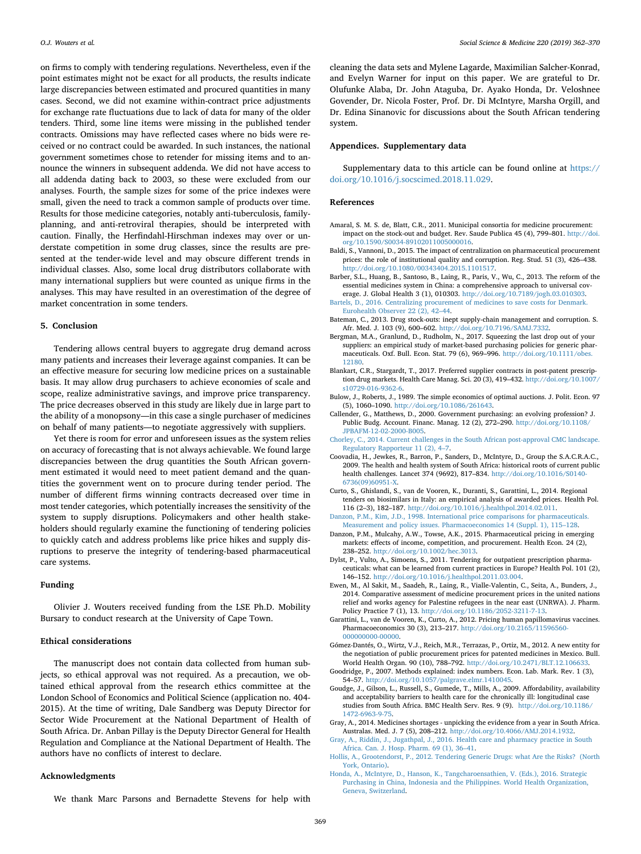on firms to comply with tendering regulations. Nevertheless, even if the point estimates might not be exact for all products, the results indicate large discrepancies between estimated and procured quantities in many cases. Second, we did not examine within-contract price adjustments for exchange rate fluctuations due to lack of data for many of the older tenders. Third, some line items were missing in the published tender contracts. Omissions may have reflected cases where no bids were received or no contract could be awarded. In such instances, the national government sometimes chose to retender for missing items and to announce the winners in subsequent addenda. We did not have access to all addenda dating back to 2003, so these were excluded from our analyses. Fourth, the sample sizes for some of the price indexes were small, given the need to track a common sample of products over time. Results for those medicine categories, notably anti-tuberculosis, familyplanning, and anti-retroviral therapies, should be interpreted with caution. Finally, the Herfindahl-Hirschman indexes may over or understate competition in some drug classes, since the results are presented at the tender-wide level and may obscure different trends in individual classes. Also, some local drug distributors collaborate with many international suppliers but were counted as unique firms in the analyses. This may have resulted in an overestimation of the degree of market concentration in some tenders.

#### **5. Conclusion**

Tendering allows central buyers to aggregate drug demand across many patients and increases their leverage against companies. It can be an effective measure for securing low medicine prices on a sustainable basis. It may allow drug purchasers to achieve economies of scale and scope, realize administrative savings, and improve price transparency. The price decreases observed in this study are likely due in large part to the ability of a monopsony—in this case a single purchaser of medicines on behalf of many patients—to negotiate aggressively with suppliers.

Yet there is room for error and unforeseen issues as the system relies on accuracy of forecasting that is not always achievable. We found large discrepancies between the drug quantities the South African government estimated it would need to meet patient demand and the quantities the government went on to procure during tender period. The number of different firms winning contracts decreased over time in most tender categories, which potentially increases the sensitivity of the system to supply disruptions. Policymakers and other health stakeholders should regularly examine the functioning of tendering policies to quickly catch and address problems like price hikes and supply disruptions to preserve the integrity of tendering-based pharmaceutical care systems.

## **Funding**

Olivier J. Wouters received funding from the LSE Ph.D. Mobility Bursary to conduct research at the University of Cape Town.

# **Ethical considerations**

The manuscript does not contain data collected from human subjects, so ethical approval was not required. As a precaution, we obtained ethical approval from the research ethics committee at the London School of Economics and Political Science (application no. 404- 2015). At the time of writing, Dale Sandberg was Deputy Director for Sector Wide Procurement at the National Department of Health of South Africa. Dr. Anban Pillay is the Deputy Director General for Health Regulation and Compliance at the National Department of Health. The authors have no conflicts of interest to declare.

### **Acknowledgments**

cleaning the data sets and Mylene Lagarde, Maximilian Salcher-Konrad, and Evelyn Warner for input on this paper. We are grateful to Dr. Olufunke Alaba, Dr. John Ataguba, Dr. Ayako Honda, Dr. Veloshnee Govender, Dr. Nicola Foster, Prof. Dr. Di McIntyre, Marsha Orgill, and Dr. Edina Sinanovic for discussions about the South African tendering system.

#### **Appendices. Supplementary data**

Supplementary data to this article can be found online at [https://](https://doi.org/10.1016/j.socscimed.2018.11.029) [doi.org/10.1016/j.socscimed.2018.11.029](https://doi.org/10.1016/j.socscimed.2018.11.029).

#### **References**

- <span id="page-7-12"></span>Amaral, S. M. S. de, Blatt, C.R., 2011. Municipal consortia for medicine procurement: impact on the stock-out and budget. Rev. Saude Publica 45 (4), 799–801. [http://doi.](http://doi.org/10.1590/S0034-89102011005000016) [org/10.1590/S0034-89102011005000016](http://doi.org/10.1590/S0034-89102011005000016).
- <span id="page-7-10"></span>Baldi, S., Vannoni, D., 2015. The impact of centralization on pharmaceutical procurement prices: the role of institutional quality and corruption. Reg. Stud. 51 (3), 426–438. [http://doi.org/10.1080/00343404.2015.1101517.](http://doi.org/10.1080/00343404.2015.1101517)
- <span id="page-7-0"></span>Barber, S.L., Huang, B., Santoso, B., Laing, R., Paris, V., Wu, C., 2013. The reform of the essential medicines system in China: a comprehensive approach to universal coverage. J. Global Health 3 (1), 010303. [http://doi.org/10.7189/jogh.03.010303.](http://doi.org/10.7189/jogh.03.010303)
- <span id="page-7-11"></span>[Bartels, D., 2016. Centralizing procurement of medicines to save costs for Denmark.](http://refhub.elsevier.com/S0277-9536(18)30663-4/sref4) [Eurohealth Observer 22 \(2\), 42–44](http://refhub.elsevier.com/S0277-9536(18)30663-4/sref4).
- <span id="page-7-20"></span>Bateman, C., 2013. Drug stock-outs: inept supply-chain management and corruption. S. Afr. Med. J. 103 (9), 600–602. <http://doi.org/10.7196/SAMJ.7332>.
- <span id="page-7-1"></span>Bergman, M.A., Granlund, D., Rudholm, N., 2017. Squeezing the last drop out of your suppliers: an empirical study of market-based purchasing policies for generic pharmaceuticals. Oxf. Bull. Econ. Stat. 79 (6), 969–996. [http://doi.org/10.1111/obes.](http://doi.org/10.1111/obes.12180) [12180.](http://doi.org/10.1111/obes.12180)
- <span id="page-7-13"></span>Blankart, C.R., Stargardt, T., 2017. Preferred supplier contracts in post-patent prescription drug markets. Health Care Manag. Sci. 20 (3), 419–432. [http://doi.org/10.1007/](http://doi.org/10.1007/s10729-016-9362-6) [s10729-016-9362-6.](http://doi.org/10.1007/s10729-016-9362-6)
- <span id="page-7-2"></span>Bulow, J., Roberts, J., 1989. The simple economics of optimal auctions. J. Polit. Econ. 97 (5), 1060–1090. <http://doi.org/10.1086/261643>.
- <span id="page-7-3"></span>Callender, G., Matthews, D., 2000. Government purchasing: an evolving profession? J. Public Budg. Account. Financ. Manag. 12 (2), 272–290. [http://doi.org/10.1108/](http://doi.org/10.1108/JPBAFM-12-02-2000-B005) [JPBAFM-12-02-2000-B005](http://doi.org/10.1108/JPBAFM-12-02-2000-B005).
- <span id="page-7-19"></span>[Chorley, C., 2014. Current challenges in the South African post-approval CMC landscape.](http://refhub.elsevier.com/S0277-9536(18)30663-4/sref10) [Regulatory Rapporteur 11 \(2\), 4–7.](http://refhub.elsevier.com/S0277-9536(18)30663-4/sref10)
- <span id="page-7-23"></span>Coovadia, H., Jewkes, R., Barron, P., Sanders, D., McIntyre, D., Group the S.A.C.R.A.C., 2009. The health and health system of South Africa: historical roots of current public health challenges. Lancet 374 (9692), 817–834. [http://doi.org/10.1016/S0140-](http://doi.org/10.1016/S0140-6736(09)60951-X) [6736\(09\)60951-X.](http://doi.org/10.1016/S0140-6736(09)60951-X)
- <span id="page-7-7"></span>Curto, S., Ghislandi, S., van de Vooren, K., Duranti, S., Garattini, L., 2014. Regional tenders on biosimilars in Italy: an empirical analysis of awarded prices. Health Pol. 116 (2–3), 182–187. <http://doi.org/10.1016/j.healthpol.2014.02.011>.
- <span id="page-7-17"></span>[Danzon, P.M., Kim, J.D., 1998. International price comparisons for pharmaceuticals.](http://refhub.elsevier.com/S0277-9536(18)30663-4/sref13) [Measurement and policy issues. Pharmacoeconomics 14 \(Suppl. 1\), 115–128.](http://refhub.elsevier.com/S0277-9536(18)30663-4/sref13)
- <span id="page-7-9"></span>Danzon, P.M., Mulcahy, A.W., Towse, A.K., 2015. Pharmaceutical pricing in emerging markets: effects of income, competition, and procurement. Health Econ. 24 (2), 238–252. <http://doi.org/10.1002/hec.3013>.
- <span id="page-7-4"></span>Dylst, P., Vulto, A., Simoens, S., 2011. Tendering for outpatient prescription pharmaceuticals: what can be learned from current practices in Europe? Health Pol. 101 (2), 146–152. <http://doi.org/10.1016/j.healthpol.2011.03.004>.
- <span id="page-7-14"></span>Ewen, M., Al Sakit, M., Saadeh, R., Laing, R., Vialle-Valentin, C., Seita, A., Bunders, J., 2014. Comparative assessment of medicine procurement prices in the united nations relief and works agency for Palestine refugees in the near east (UNRWA). J. Pharm. Policy Practice 7 (1), 13. [http://doi.org/10.1186/2052-3211-7-13.](http://doi.org/10.1186/2052-3211-7-13)
- <span id="page-7-8"></span>Garattini, L., van de Vooren, K., Curto, A., 2012. Pricing human papillomavirus vaccines. Pharmacoeconomics 30 (3), 213–217. [http://doi.org/10.2165/11596560-](http://doi.org/10.2165/11596560-000000000-00000) [000000000-00000.](http://doi.org/10.2165/11596560-000000000-00000)
- <span id="page-7-15"></span>Gómez-Dantés, O., Wirtz, V.J., Reich, M.R., Terrazas, P., Ortiz, M., 2012. A new entity for the negotiation of public procurement prices for patented medicines in Mexico. Bull. World Health Organ. 90 (10), 788–792. [http://doi.org/10.2471/BLT.12.106633.](http://doi.org/10.2471/BLT.12.106633)
- <span id="page-7-18"></span>Goodridge, P., 2007. Methods explained: index numbers. Econ. Lab. Mark. Rev. 1 (3), 54–57. <http://doi.org/10.1057/palgrave.elmr.1410045>.
- <span id="page-7-22"></span>Goudge, J., Gilson, L., Russell, S., Gumede, T., Mills, A., 2009. Affordability, availability and acceptability barriers to health care for the chronically ill: longitudinal case studies from South Africa. BMC Health Serv. Res. 9 (9). [http://doi.org/10.1186/](http://doi.org/10.1186/1472-6963-9-75) [1472-6963-9-75](http://doi.org/10.1186/1472-6963-9-75).
- <span id="page-7-21"></span>Gray, A., 2014. Medicines shortages - unpicking the evidence from a year in South Africa. Australas. Med. J. 7 (5), 208–212. [http://doi.org/10.4066/AMJ.2014.1932.](http://doi.org/10.4066/AMJ.2014.1932)
- <span id="page-7-16"></span>[Gray, A., Riddin, J., Jugathpal, J., 2016. Health care and pharmacy practice in South](http://refhub.elsevier.com/S0277-9536(18)30663-4/sref22) [Africa. Can. J. Hosp. Pharm. 69 \(1\), 36–41](http://refhub.elsevier.com/S0277-9536(18)30663-4/sref22).
- <span id="page-7-6"></span>[Hollis, A., Grootendorst, P., 2012. Tendering Generic Drugs: what Are the Risks? \(North](http://refhub.elsevier.com/S0277-9536(18)30663-4/sref23) [York, Ontario\).](http://refhub.elsevier.com/S0277-9536(18)30663-4/sref23)
- <span id="page-7-5"></span>[Honda, A., McIntyre, D., Hanson, K., Tangcharoensathien, V. \(Eds.\), 2016. Strategic](http://refhub.elsevier.com/S0277-9536(18)30663-4/sref24) [Purchasing in China, Indonesia and the Philippines. World Health Organization,](http://refhub.elsevier.com/S0277-9536(18)30663-4/sref24) [Geneva, Switzerland.](http://refhub.elsevier.com/S0277-9536(18)30663-4/sref24)